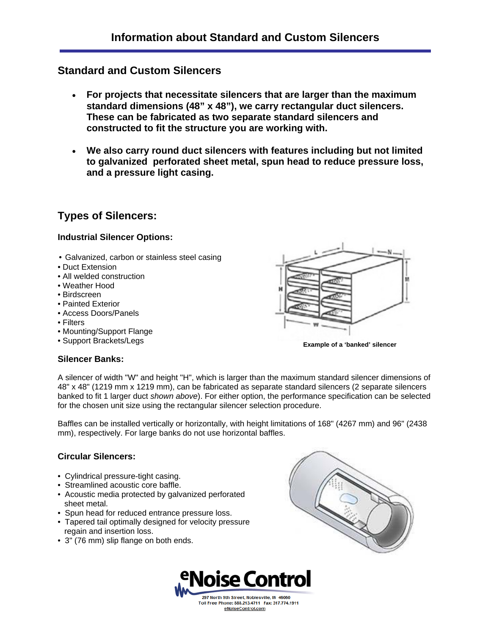# **Standard and Custom Silencers**

- **For projects that necessitate silencers that are larger than the maximum standard dimensions (48" x 48"), we carry rectangular duct silencers. These can be fabricated as two separate standard silencers and constructed to fit the structure you are working with.**
- **We also carry round duct silencers with features including but not limited to galvanized perforated sheet metal, spun head to reduce pressure loss, and a pressure light casing.**

# **Types of Silencers:**

#### **Industrial Silencer Options:**

- Galvanized, carbon or stainless steel casing
- Duct Extension
- All welded construction
- Weather Hood
- Birdscreen
- Painted Exterior
- Access Doors/Panels
- Filters
- Mounting/Support Flange
- Support Brackets/Legs **Example of a 'banked' silencer**

# **Silencer Banks:**

A silencer of width "W" and height "H", which is larger than the maximum standard silencer dimensions of 48" x 48" (1219 mm x 1219 mm), can be fabricated as separate standard silencers (2 separate silencers banked to fit 1 larger duct *shown above*). For either option, the performance specification can be selected for the chosen unit size using the rectangular silencer selection procedure.

Baffles can be installed vertically or horizontally, with height limitations of 168" (4267 mm) and 96" (2438 mm), respectively. For large banks do not use horizontal baffles.

# **Circular Silencers:**

- Cylindrical pressure-tight casing.
- Streamlined acoustic core baffle.
- Acoustic media protected by galvanized perforated sheet metal.
- Spun head for reduced entrance pressure loss.
- Tapered tail optimally designed for velocity pressure regain and insertion loss.
- 3" (76 mm) slip flange on both ends.





eNoiseControl.com